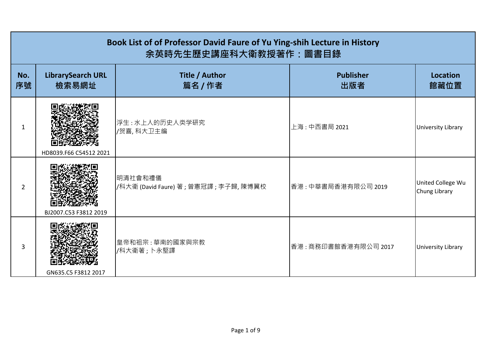|           | Book List of of Professor David Faure of Yu Ying-shih Lecture in History<br>余英時先生歷史講座科大衛教授著作:圖書目錄 |                                                    |                         |                                    |  |
|-----------|---------------------------------------------------------------------------------------------------|----------------------------------------------------|-------------------------|------------------------------------|--|
| No.<br>序號 | <b>LibrarySearch URL</b><br>檢索易網址                                                                 | Title / Author<br>篇名 / 作者                          | <b>Publisher</b><br>出版者 | <b>Location</b><br>館藏位置            |  |
| 1         | HD8039.F66 C54512 2021                                                                            | 浮生:水上人的历史人类学研究<br>/贺喜,科大卫主编                        | 上海:中西書局 2021            | <b>University Library</b>          |  |
| 2         | BJ2007.C53 F3812 2019                                                                             | 明清社會和禮儀<br>/科大衛 (David Faure) 著 ; 曾憲冠譯 ; 李子歸, 陳博翼校 | 香港:中華書局香港有限公司 2019      | United College Wu<br>Chung Library |  |
| 3         | GN635.C5 F3812 2017                                                                               | 皇帝和祖宗: 華南的國家與宗教<br>/科大衛著; 卜永堅譯                     | 香港:商務印書館香港有限公司 2017     | University Library                 |  |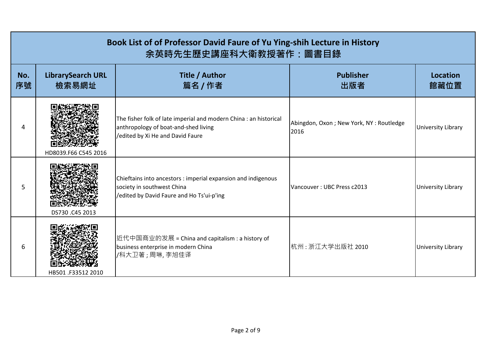|           | Book List of of Professor David Faure of Yu Ying-shih Lecture in History<br>余英時先生歷史講座科大衛教授著作:圖書目錄 |                                                                                                                                               |                                                 |                           |  |
|-----------|---------------------------------------------------------------------------------------------------|-----------------------------------------------------------------------------------------------------------------------------------------------|-------------------------------------------------|---------------------------|--|
| No.<br>序號 | <b>LibrarySearch URL</b><br>檢索易網址                                                                 | Title / Author<br>篇名 / 作者                                                                                                                     | <b>Publisher</b><br>出版者                         | <b>Location</b><br>館藏位置   |  |
| 4         | HD8039.F66 C545 2016                                                                              | The fisher folk of late imperial and modern China : an historical<br>anthropology of boat-and-shed living<br>/edited by Xi He and David Faure | Abingdon, Oxon; New York, NY: Routledge<br>2016 | <b>University Library</b> |  |
| 5         | DS730.C45 2013                                                                                    | Chieftains into ancestors : imperial expansion and indigenous<br>society in southwest China<br>/edited by David Faure and Ho Ts'ui-p'ing      | Vancouver: UBC Press c2013                      | <b>University Library</b> |  |
| 6         | HB501.F33512 2010                                                                                 | 近代中国商业的发展 = China and capitalism : a history of<br>business enterprise in modern China<br>/科大卫著;周琳,李旭佳译                                       | 杭州 : 浙江大学出版社 2010                               | <b>University Library</b> |  |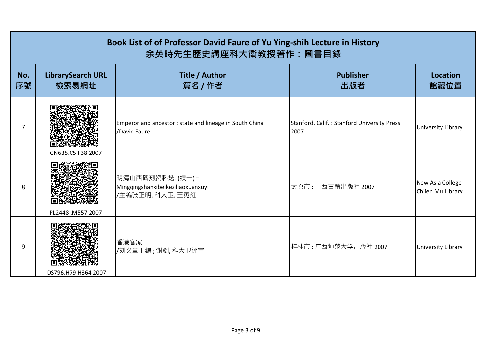|           | Book List of of Professor David Faure of Yu Ying-shih Lecture in History<br>余英時先生歷史講座科大衛教授著作:圖書目錄 |                                                                           |                                                     |                                       |  |
|-----------|---------------------------------------------------------------------------------------------------|---------------------------------------------------------------------------|-----------------------------------------------------|---------------------------------------|--|
| No.<br>序號 | <b>LibrarySearch URL</b><br>檢索易網址                                                                 | <b>Title / Author</b><br>篇名 / 作者                                          | <b>Publisher</b><br>出版者                             | <b>Location</b><br>館藏位置               |  |
| 7         | GN635.C5 F38 2007                                                                                 | Emperor and ancestor: state and lineage in South China<br>/David Faure    | Stanford, Calif.: Stanford University Press<br>2007 | <b>University Library</b>             |  |
| 8         | PL2448 .M557 2007                                                                                 | 明清山西碑刻资料选. (续一)=<br>Mingqingshanxibeikeziliaoxuanxuyi<br>/主编张正明, 科大卫, 王勇红 | 太原市:山西古籍出版社 2007                                    | New Asia College<br>Ch'ien Mu Library |  |
| 9         | DS796.H79 H364 2007                                                                               | 香港客家<br>/刘义章主编;谢剑,科大卫评审                                                   | 桂林市:广西师范大学出版社 2007                                  | <b>University Library</b>             |  |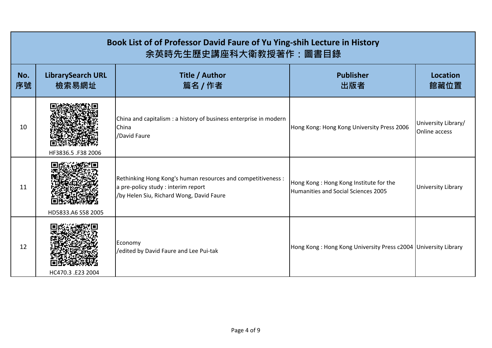|           | Book List of of Professor David Faure of Yu Ying-shih Lecture in History<br>余英時先生歷史講座科大衛教授著作:圖書目錄 |                                                                                                                                                 |                                                                               |                                      |  |
|-----------|---------------------------------------------------------------------------------------------------|-------------------------------------------------------------------------------------------------------------------------------------------------|-------------------------------------------------------------------------------|--------------------------------------|--|
| No.<br>序號 | <b>LibrarySearch URL</b><br>檢索易網址                                                                 | Title / Author<br>篇名 / 作者                                                                                                                       | <b>Publisher</b><br>出版者                                                       | <b>Location</b><br>館藏位置              |  |
| 10        | HF3836.5 .F38 2006                                                                                | China and capitalism : a history of business enterprise in modern<br>China<br>/David Faure                                                      | Hong Kong: Hong Kong University Press 2006                                    | University Library/<br>Online access |  |
| 11        | HD5833.A6 S58 2005                                                                                | Rethinking Hong Kong's human resources and competitiveness :<br>a pre-policy study : interim report<br>/by Helen Siu, Richard Wong, David Faure | Hong Kong: Hong Kong Institute for the<br>Humanities and Social Sciences 2005 | <b>University Library</b>            |  |
| 12        | HC470.3 .E23 2004                                                                                 | Economy<br>/edited by David Faure and Lee Pui-tak                                                                                               | Hong Kong: Hong Kong University Press c2004 University Library                |                                      |  |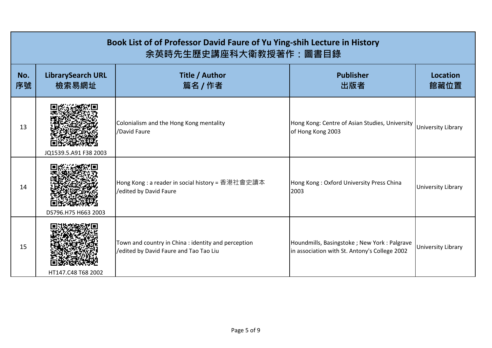|           | Book List of of Professor David Faure of Yu Ying-shih Lecture in History<br>余英時先生歷史講座科大衛教授著作:圖書目錄 |                                                                                               |                                                                                              |                           |  |
|-----------|---------------------------------------------------------------------------------------------------|-----------------------------------------------------------------------------------------------|----------------------------------------------------------------------------------------------|---------------------------|--|
| No.<br>序號 | <b>LibrarySearch URL</b><br>檢索易網址                                                                 | <b>Title / Author</b><br>篇名 / 作者                                                              | <b>Publisher</b><br>出版者                                                                      | <b>Location</b><br>館藏位置   |  |
| 13        | JQ1539.5.A91 F38 2003                                                                             | Colonialism and the Hong Kong mentality<br>/David Faure                                       | Hong Kong: Centre of Asian Studies, University<br>of Hong Kong 2003                          | <b>University Library</b> |  |
| 14        | DS796.H75 H663 2003                                                                               | Hong Kong : a reader in social history = 香港社會史讀本<br>/edited by David Faure                    | Hong Kong: Oxford University Press China<br>2003                                             | <b>University Library</b> |  |
| 15        | HT147.C48 T68 2002                                                                                | Town and country in China : identity and perception<br>/edited by David Faure and Tao Tao Liu | Houndmills, Basingstoke; New York: Palgrave<br>in association with St. Antony's College 2002 | <b>University Library</b> |  |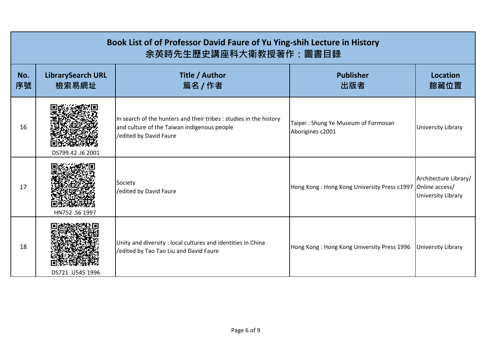|           | Book List of of Professor David Faure of Yu Ying-shih Lecture in History<br>余英時先生歷史講座科大衛教授著作:圖書目錄 |                                                                                                                                            |                                                            |                                                    |  |
|-----------|---------------------------------------------------------------------------------------------------|--------------------------------------------------------------------------------------------------------------------------------------------|------------------------------------------------------------|----------------------------------------------------|--|
| No.<br>序號 | <b>LibrarySearch URL</b><br>檢索易網址                                                                 | Title / Author<br>篇名 / 作者                                                                                                                  | <b>Publisher</b><br>出版者                                    | Location<br>館藏位置                                   |  |
| 16        | DS799.42 .16 2001                                                                                 | In search of the hunters and their tribes : studies in the history<br>and culture of the Taiwan indigenous people<br>edited by David Faure | Taipei: Shung Ye Museum of Formosan<br>Aborigines c2001    | <b>University Library</b>                          |  |
| 17        | HN752.S6 1997                                                                                     | Society<br>/edited by David Faure                                                                                                          | Hong Kong: Hong Kong University Press c1997 Online access/ | Architecture Library/<br><b>University Library</b> |  |
| 18        | DS721 .U545 1996                                                                                  | Unity and diversity: local cultures and identities in China<br>/edited by Tao Tao Liu and David Faure                                      | Hong Kong: Hong Kong University Press 1996                 | <b>University Library</b>                          |  |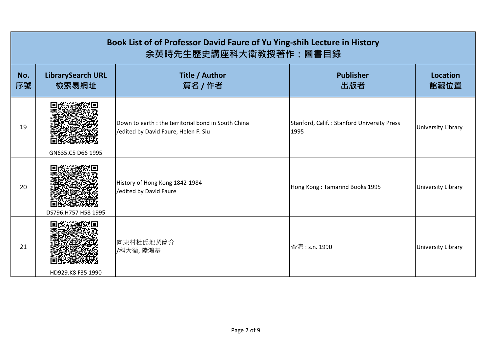|           | Book List of of Professor David Faure of Yu Ying-shih Lecture in History<br>余英時先生歷史講座科大衛教授著作:圖書目錄 |                                                                                            |                                                     |                           |  |
|-----------|---------------------------------------------------------------------------------------------------|--------------------------------------------------------------------------------------------|-----------------------------------------------------|---------------------------|--|
| No.<br>序號 | <b>LibrarySearch URL</b><br>檢索易網址                                                                 | Title / Author<br>篇名 / 作者                                                                  | <b>Publisher</b><br>出版者                             | <b>Location</b><br>館藏位置   |  |
| 19        | GN635.C5 D66 1995                                                                                 | Down to earth: the territorial bond in South China<br>/edited by David Faure, Helen F. Siu | Stanford, Calif.: Stanford University Press<br>1995 | <b>University Library</b> |  |
| 20        | DS796.H757 H58 1995                                                                               | History of Hong Kong 1842-1984<br>/edited by David Faure                                   | Hong Kong: Tamarind Books 1995                      | <b>University Library</b> |  |
| 21        | HD929.K8 F35 1990                                                                                 | 向東村杜氏地契簡介<br>/科大衛,陸鴻基                                                                      | 香港: s.n. 1990                                       | <b>University Library</b> |  |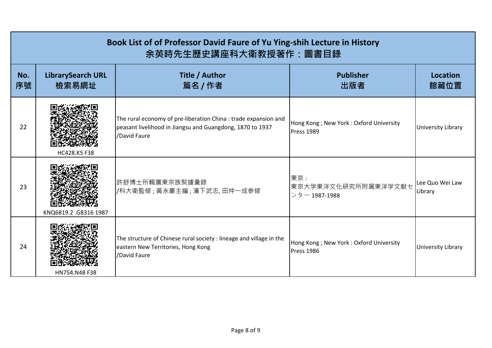|           | Book List of of Professor David Faure of Yu Ying-shih Lecture in History<br>余英時先生歷史講座科大衛教授著作:圖書目錄 |                                                                                                                                              |                                                             |                            |  |
|-----------|---------------------------------------------------------------------------------------------------|----------------------------------------------------------------------------------------------------------------------------------------------|-------------------------------------------------------------|----------------------------|--|
| No.<br>序號 | <b>LibrarySearch URL</b><br>檢索易網址                                                                 | Title / Author<br>篇名 / 作者                                                                                                                    | <b>Publisher</b><br>出版者                                     | Location<br>館藏位置           |  |
| 22        | HC428.K5 F38                                                                                      | The rural economy of pre-liberation China : trade expansion and<br>peasant livelihood in Jiangsu and Guangdong, 1870 to 1937<br>/David Faure | Hong Kong; New York: Oxford University<br>Press 1989        | <b>University Library</b>  |  |
| 23        | KNQ6819.2.G8316 1987                                                                              | 許舒博士所輯廣東宗族契據彙錄<br>/科大衛監修;黃永豪主編;濱下武志,田仲一成参修                                                                                                   | 東京:<br>東京大学東洋文化研究所附属東洋学文献セ<br>ンター 1987-1988                 | Lee Quo Wei Law<br>Library |  |
| 24        | HN754.N48 F38                                                                                     | The structure of Chinese rural society : lineage and village in the<br>eastern New Territories, Hong Kong<br>/David Faure                    | Hong Kong; New York: Oxford University<br><b>Press 1986</b> | <b>University Library</b>  |  |